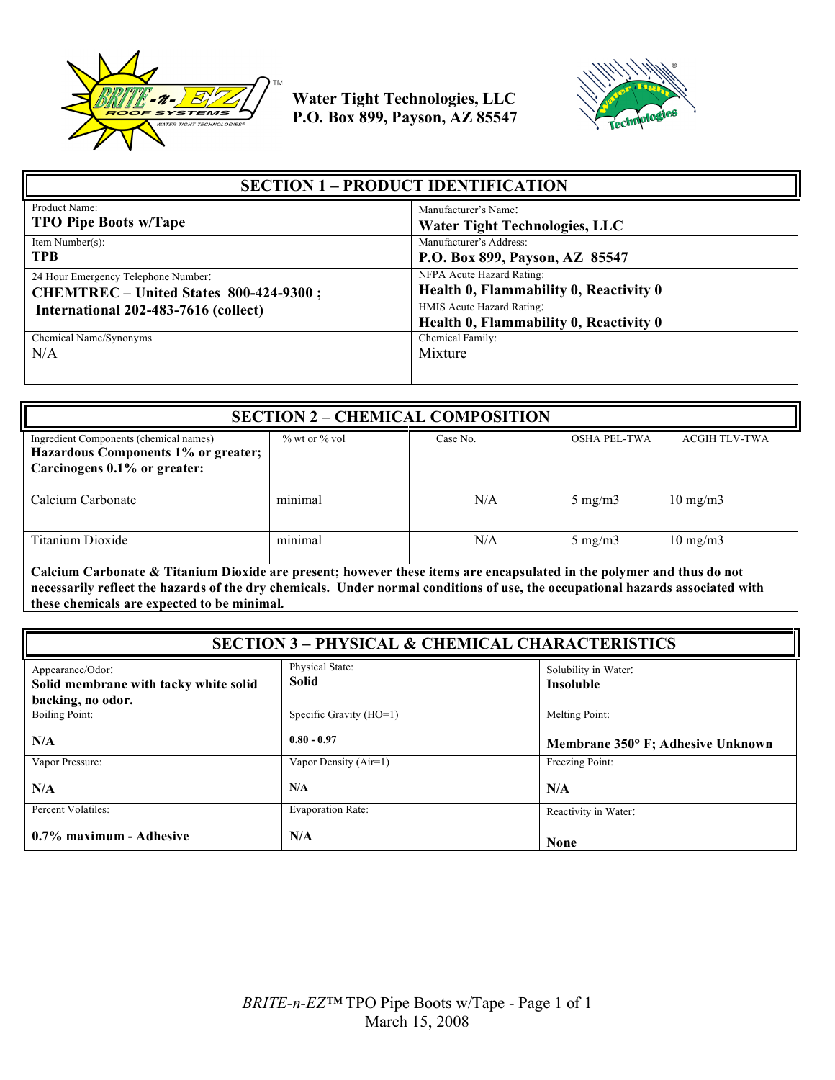



| <b>SECTION 1 – PRODUCT IDENTIFICATION</b> |                                                                       |  |
|-------------------------------------------|-----------------------------------------------------------------------|--|
| Product Name:                             | Manufacturer's Name:                                                  |  |
| <b>TPO Pipe Boots w/Tape</b>              | <b>Water Tight Technologies, LLC</b>                                  |  |
| Item Number $(s)$ :                       | Manufacturer's Address:                                               |  |
| <b>TPB</b>                                | P.O. Box 899, Payson, AZ 85547                                        |  |
| 24 Hour Emergency Telephone Number:       | NFPA Acute Hazard Rating:                                             |  |
| CHEMTREC – United States 800-424-9300;    | Health 0, Flammability 0, Reactivity 0                                |  |
| International 202-483-7616 (collect)      | HMIS Acute Hazard Rating:                                             |  |
| Chemical Name/Synonyms<br>N/A             | Health 0, Flammability 0, Reactivity 0<br>Chemical Family:<br>Mixture |  |

| <b>SECTION 2 - CHEMICAL COMPOSITION</b>                                                                       |                     |          |                     |                      |
|---------------------------------------------------------------------------------------------------------------|---------------------|----------|---------------------|----------------------|
| Ingredient Components (chemical names)<br>Hazardous Components 1% or greater;<br>Carcinogens 0.1% or greater: | $\%$ wt or $\%$ vol | Case No. | <b>OSHA PEL-TWA</b> | <b>ACGIH TLV-TWA</b> |
| Calcium Carbonate                                                                                             | minimal             | N/A      | $5 \text{ mg/m}$    | $10 \text{ mg/m}$    |
| Titanium Dioxide                                                                                              | minimal             | N/A      | $5 \text{ mg/m}$    | $10 \text{ mg/m}$    |

**Calcium Carbonate & Titanium Dioxide are present; however these items are encapsulated in the polymer and thus do not necessarily reflect the hazards of the dry chemicals. Under normal conditions of use, the occupational hazards associated with these chemicals are expected to be minimal.**

| <b>SECTION 3 - PHYSICAL &amp; CHEMICAL CHARACTERISTICS</b>                     |                                 |                                          |
|--------------------------------------------------------------------------------|---------------------------------|------------------------------------------|
| Appearance/Odor:<br>Solid membrane with tacky white solid<br>backing, no odor. | Physical State:<br><b>Solid</b> | Solubility in Water:<br><b>Insoluble</b> |
| <b>Boiling Point:</b>                                                          | Specific Gravity (HO=1)         | Melting Point:                           |
| N/A                                                                            | $0.80 - 0.97$                   | Membrane 350° F; Adhesive Unknown        |
| Vapor Pressure:                                                                | Vapor Density (Air=1)           | Freezing Point:                          |
| N/A                                                                            | N/A                             | N/A                                      |
| Percent Volatiles:                                                             | <b>Evaporation Rate:</b>        | Reactivity in Water:                     |
| 0.7% maximum - Adhesive                                                        | N/A                             | <b>None</b>                              |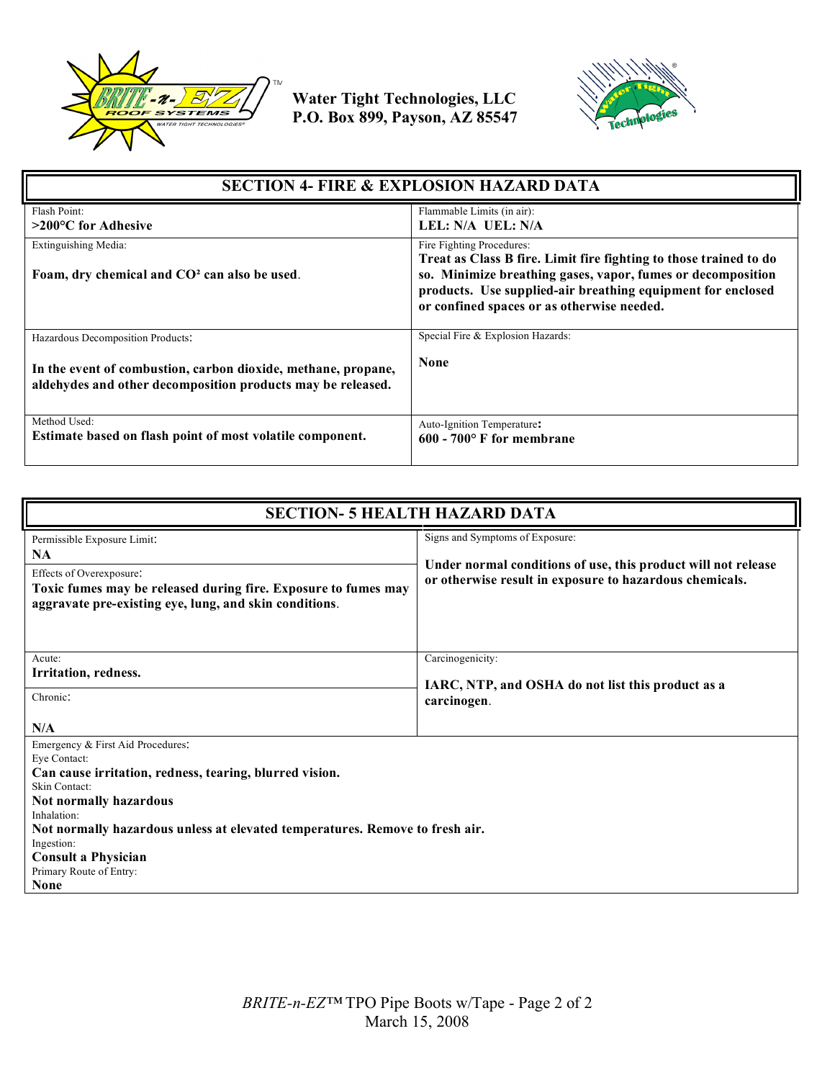



| <b>SECTION 4- FIRE &amp; EXPLOSION HAZARD DATA</b>                                                                           |                                                                                                                                                                                                                                                                            |  |
|------------------------------------------------------------------------------------------------------------------------------|----------------------------------------------------------------------------------------------------------------------------------------------------------------------------------------------------------------------------------------------------------------------------|--|
| Flash Point:<br>$>200^{\circ}$ C for Adhesive                                                                                | Flammable Limits (in air):<br>LEL: N/A UEL: N/A                                                                                                                                                                                                                            |  |
| Extinguishing Media:<br>Foam, dry chemical and CO <sup>2</sup> can also be used.                                             | Fire Fighting Procedures:<br>Treat as Class B fire. Limit fire fighting to those trained to do<br>so. Minimize breathing gases, vapor, fumes or decomposition<br>products. Use supplied-air breathing equipment for enclosed<br>or confined spaces or as otherwise needed. |  |
| Hazardous Decomposition Products:                                                                                            | Special Fire & Explosion Hazards:                                                                                                                                                                                                                                          |  |
| In the event of combustion, carbon dioxide, methane, propane,<br>aldehydes and other decomposition products may be released. | <b>None</b>                                                                                                                                                                                                                                                                |  |
| Method Used:<br>Estimate based on flash point of most volatile component.                                                    | Auto-Ignition Temperature:<br>$600 - 700$ F for membrane                                                                                                                                                                                                                   |  |

| <b>SECTION- 5 HEALTH HAZARD DATA</b>                                                                                                                                                                                                                                                                                                         |                                                                                                                                                             |  |
|----------------------------------------------------------------------------------------------------------------------------------------------------------------------------------------------------------------------------------------------------------------------------------------------------------------------------------------------|-------------------------------------------------------------------------------------------------------------------------------------------------------------|--|
| Permissible Exposure Limit:<br><b>NA</b><br>Effects of Overexposure:<br>Toxic fumes may be released during fire. Exposure to fumes may<br>aggravate pre-existing eye, lung, and skin conditions.                                                                                                                                             | Signs and Symptoms of Exposure:<br>Under normal conditions of use, this product will not release<br>or otherwise result in exposure to hazardous chemicals. |  |
| Acute:<br>Irritation, redness.<br>Chronic:<br>N/A                                                                                                                                                                                                                                                                                            | Carcinogenicity:<br>IARC, NTP, and OSHA do not list this product as a<br>carcinogen.                                                                        |  |
| Emergency & First Aid Procedures:<br>Eye Contact:<br>Can cause irritation, redness, tearing, blurred vision.<br>Skin Contact:<br>Not normally hazardous<br>Inhalation:<br>Not normally hazardous unless at elevated temperatures. Remove to fresh air.<br>Ingestion:<br><b>Consult a Physician</b><br>Primary Route of Entry:<br><b>None</b> |                                                                                                                                                             |  |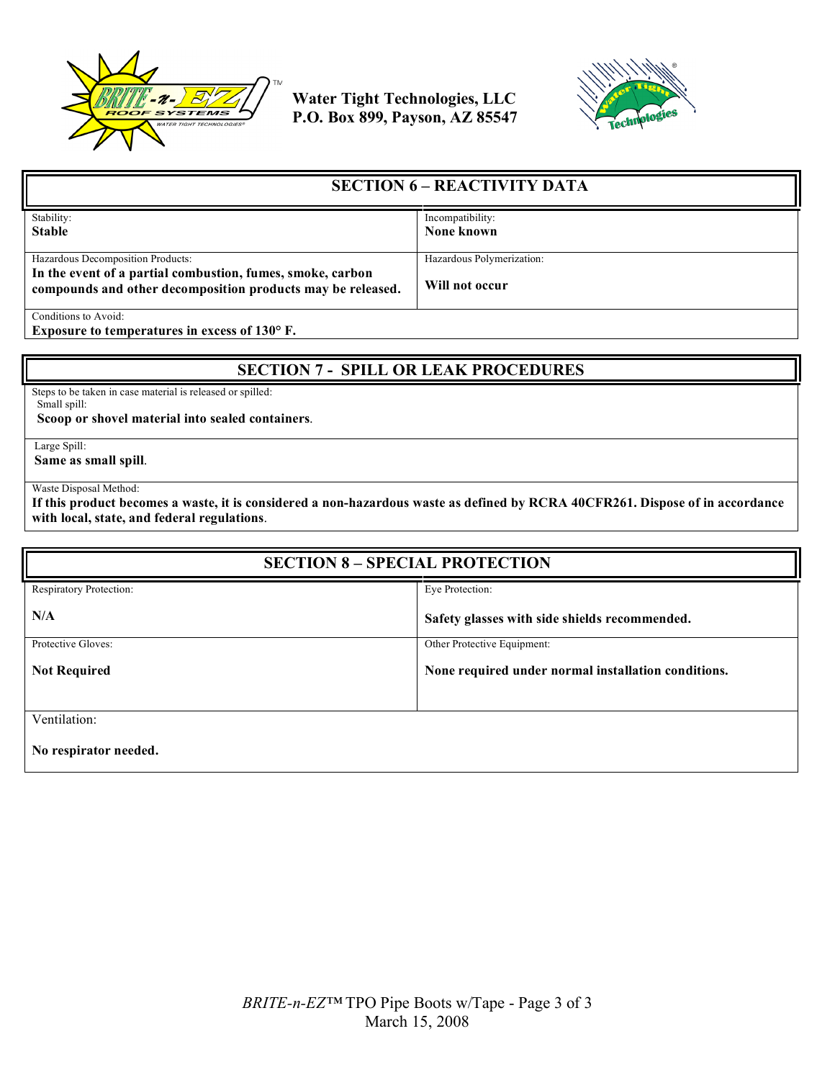



| <b>SECTION 6 – REACTIVITY DATA</b>                                                                                        |                           |
|---------------------------------------------------------------------------------------------------------------------------|---------------------------|
| Stability:                                                                                                                | Incompatibility:          |
| <b>Stable</b>                                                                                                             | None known                |
|                                                                                                                           |                           |
| Hazardous Decomposition Products:                                                                                         | Hazardous Polymerization: |
| In the event of a partial combustion, fumes, smoke, carbon<br>compounds and other decomposition products may be released. | Will not occur            |
| Conditions to Avoid:                                                                                                      |                           |

**Exposure to temperatures in excess of 130° F.**

## **SECTION 7 - SPILL OR LEAK PROCEDURES**

Steps to be taken in case material is released or spilled: Small spill:

 **Scoop or shovel material into sealed containers**.

Large Spill:

**Same as small spill**.

Waste Disposal Method:

**If this product becomes a waste, it is considered a non-hazardous waste as defined by RCRA 40CFR261. Dispose of in accordance with local, state, and federal regulations**.

| <b>SECTION 8 - SPECIAL PROTECTION</b> |                                                     |
|---------------------------------------|-----------------------------------------------------|
| Respiratory Protection:               | Eye Protection:                                     |
| N/A                                   | Safety glasses with side shields recommended.       |
| Protective Gloves:                    | Other Protective Equipment:                         |
| <b>Not Required</b>                   | None required under normal installation conditions. |
| Ventilation:<br>No respirator needed. |                                                     |